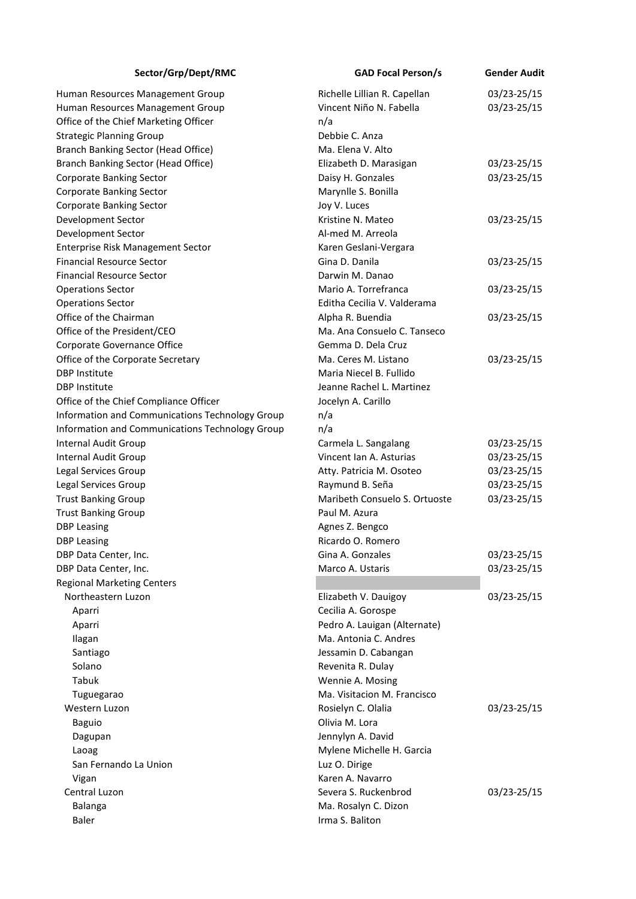| Sector/Grp/Dept/RMC                             | <b>GAD Focal Person/s</b>     | <b>Gender Audit</b> |
|-------------------------------------------------|-------------------------------|---------------------|
| Human Resources Management Group                | Richelle Lillian R. Capellan  | 03/23-25/15         |
| Human Resources Management Group                | Vincent Niño N. Fabella       | 03/23-25/15         |
| Office of the Chief Marketing Officer           | n/a                           |                     |
| <b>Strategic Planning Group</b>                 | Debbie C. Anza                |                     |
| Branch Banking Sector (Head Office)             | Ma. Elena V. Alto             |                     |
| Branch Banking Sector (Head Office)             | Elizabeth D. Marasigan        | 03/23-25/15         |
| Corporate Banking Sector                        | Daisy H. Gonzales             | 03/23-25/15         |
| Corporate Banking Sector                        | Marynlle S. Bonilla           |                     |
| Corporate Banking Sector                        | Joy V. Luces                  |                     |
| Development Sector                              | Kristine N. Mateo             | 03/23-25/15         |
| Development Sector                              | Al-med M. Arreola             |                     |
| Enterprise Risk Management Sector               | Karen Geslani-Vergara         |                     |
| <b>Financial Resource Sector</b>                | Gina D. Danila                | 03/23-25/15         |
| <b>Financial Resource Sector</b>                | Darwin M. Danao               |                     |
| <b>Operations Sector</b>                        | Mario A. Torrefranca          | 03/23-25/15         |
| <b>Operations Sector</b>                        | Editha Cecilia V. Valderama   |                     |
| Office of the Chairman                          | Alpha R. Buendia              | 03/23-25/15         |
| Office of the President/CEO                     | Ma. Ana Consuelo C. Tanseco   |                     |
| Corporate Governance Office                     | Gemma D. Dela Cruz            |                     |
| Office of the Corporate Secretary               | Ma. Ceres M. Listano          | 03/23-25/15         |
| <b>DBP Institute</b>                            | Maria Niecel B. Fullido       |                     |
| <b>DBP Institute</b>                            | Jeanne Rachel L. Martinez     |                     |
| Office of the Chief Compliance Officer          | Jocelyn A. Carillo            |                     |
| Information and Communications Technology Group | n/a                           |                     |
| Information and Communications Technology Group | n/a                           |                     |
| <b>Internal Audit Group</b>                     | Carmela L. Sangalang          | 03/23-25/15         |
| <b>Internal Audit Group</b>                     | Vincent Ian A. Asturias       | 03/23-25/15         |
| Legal Services Group                            | Atty. Patricia M. Osoteo      | 03/23-25/15         |
| Legal Services Group                            | Raymund B. Seña               | 03/23-25/15         |
| <b>Trust Banking Group</b>                      | Maribeth Consuelo S. Ortuoste | 03/23-25/15         |
| <b>Trust Banking Group</b>                      | Paul M. Azura                 |                     |
| <b>DBP Leasing</b>                              | Agnes Z. Bengco               |                     |
| <b>DBP Leasing</b>                              | Ricardo O. Romero             |                     |
| DBP Data Center, Inc.                           | Gina A. Gonzales              | 03/23-25/15         |
| DBP Data Center, Inc.                           | Marco A. Ustaris              | 03/23-25/15         |
| <b>Regional Marketing Centers</b>               |                               |                     |
| Northeastern Luzon                              | Elizabeth V. Dauigoy          | 03/23-25/15         |
| Aparri                                          | Cecilia A. Gorospe            |                     |
| Aparri                                          | Pedro A. Lauigan (Alternate)  |                     |
| Ilagan                                          | Ma. Antonia C. Andres         |                     |
| Santiago                                        | Jessamin D. Cabangan          |                     |
| Solano                                          | Revenita R. Dulay             |                     |
| Tabuk                                           | Wennie A. Mosing              |                     |
| Tuguegarao                                      | Ma. Visitacion M. Francisco   |                     |
| Western Luzon                                   | Rosielyn C. Olalia            | 03/23-25/15         |
| <b>Baguio</b>                                   | Olivia M. Lora                |                     |
| Dagupan                                         | Jennylyn A. David             |                     |
| Laoag                                           | Mylene Michelle H. Garcia     |                     |
| San Fernando La Union                           | Luz O. Dirige                 |                     |
| Vigan                                           | Karen A. Navarro              |                     |
| Central Luzon                                   | Severa S. Ruckenbrod          | 03/23-25/15         |
| Balanga                                         | Ma. Rosalyn C. Dizon          |                     |
| <b>Baler</b>                                    | Irma S. Baliton               |                     |
|                                                 |                               |                     |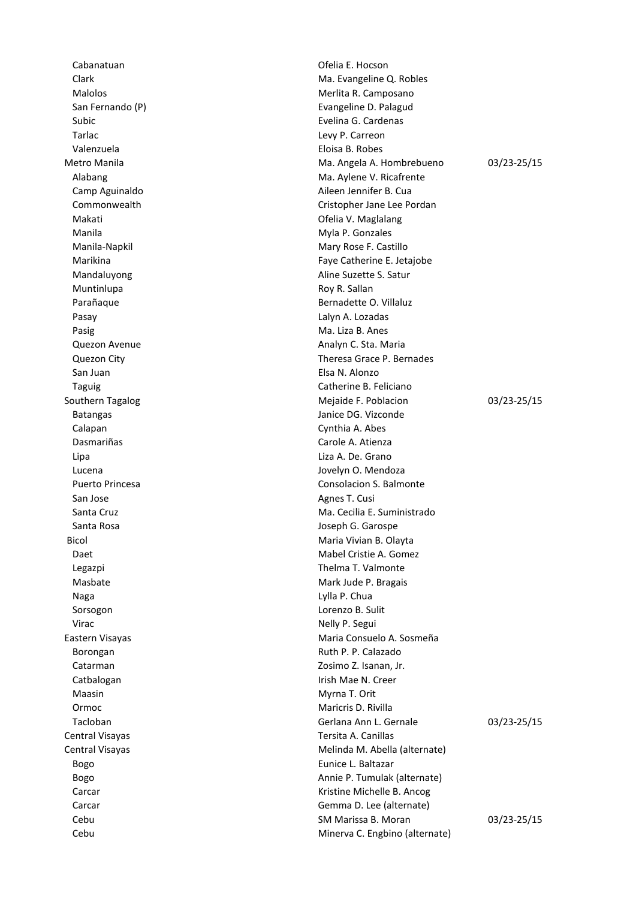Subic **Evelina G. Cardenas** Tarlac Levy P. Carreon Valenzuela **Eloisa B. Robes** Makati Ofelia V. Maglalang Manila **Manila** Myla P. Gonzales Manila-Napkil Mary Rose F. Castillo Muntinlupa **Muntinlupa** Roy R. Sallan Pasay **Data and Contact Contact Contact Contact Contact Contact Contact Contact Contact Contact Contact Contact Contact Contact Contact Contact Contact Contact Contact Contact Contact Contact Contact Contact Contact Contac** Pasig **Magnetic Contract Contract Contract Contract Contract Contract Contract Contract Contract Contract Contract Contract Contract Contract Contract Contract Contract Contract Contract Contract Contract Contract Contract** Quezon Avenue **Analyn C. Sta. Maria** San Juan Elsa N. Alonzo Batangas **Janice DG. Vizconde** Calapan Cynthia A. Abes Dasmariñas **Carole A. Atienza** Lipa Liza A. De. Grano Lucena Jovelyn O. Mendoza San Jose **Agnes T. Cusi Cusing the Cusing San Jose** Agnes T. Cusing Agnes T. Cusing Agnes T. Cusing Agnes T. Cusing Agnes T. Cusing Agnes T. Cusing Agnes T. Cusing Agnes T. Cusing Agnes T. Cusing Agnes T. Cusing Agnes T. Santa Rosa **Joseph G. Garospe**  Bicol Maria Vivian B. Olayta Legazpi **Thelma T. Valmonte** Masbate Mark Jude P. Bragais Naga Lylla P. Chua Sorsogon **Lorenzo B.** Sulit Virac **Nelly P. Segui** Borongan **Borongan** Ruth P. P. Calazado Catarman Zosimo Z. Isanan, Jr. Catbalogan **Irish Mae N. Creer** Maasin Maasin Music Contract Contract Myrna T. Orit Ormoc **Maricris D. Rivilla** Central Visayas Tersita A. Canillas Bogo **Eunice L. Baltazar** 

Cabanatuan **Cabanatuan** Cabanatuan Cabanatuan Dielia E. Hocson Clark Clark Ma. Evangeline Q. Robles Malolos Malolos **Merlita R. Camposano** San Fernando (P) **Evangeline D. Palagud** Metro Manila **Matrice A. Angela A. Hombrebueno** 193/23-25/15 Alabang Ma. Aylene V. Ricafrente Camp Aguinaldo **Aileen Jennifer B. Cua** Commonwealth Commonwealth Commonwealth Marikina **Faye Catherine E. Jetajobe** Mandaluyong **Aline Suzette S. Satur** Aline Suzette S. Satur Parañaque **Bernadette O. Villaluz** Quezon City Theresa Grace P. Bernades Taguig Catherine B. Feliciano Southern Tagalog and Southern Tagalog Mejaide F. Poblacion 63/23-25/15 Puerto Princesa **Consolacion S. Balmonte** Santa Cruz Ma. Cecilia E. Suministrado Daet **Mabel Cristie A. Gomez** Eastern Visayas Maria Consuelo A. Sosmeña Tacloban Gerlana Ann L. Gernale 03/23-25/15 Central Visayas **Melinda M. Abella (alternate)** Melinda M. Abella (alternate) Bogo **Annie P. Tumulak (alternate) Annie P. Tumulak (alternate**) Carcar Carcar Carcar Carcar Carcar Kristine Michelle B. Ancog Carcar Gemma D. Lee (alternate) Cebu SM Marissa B. Moran 03/23-25/15 Cebu Minerva C. Engbino (alternate)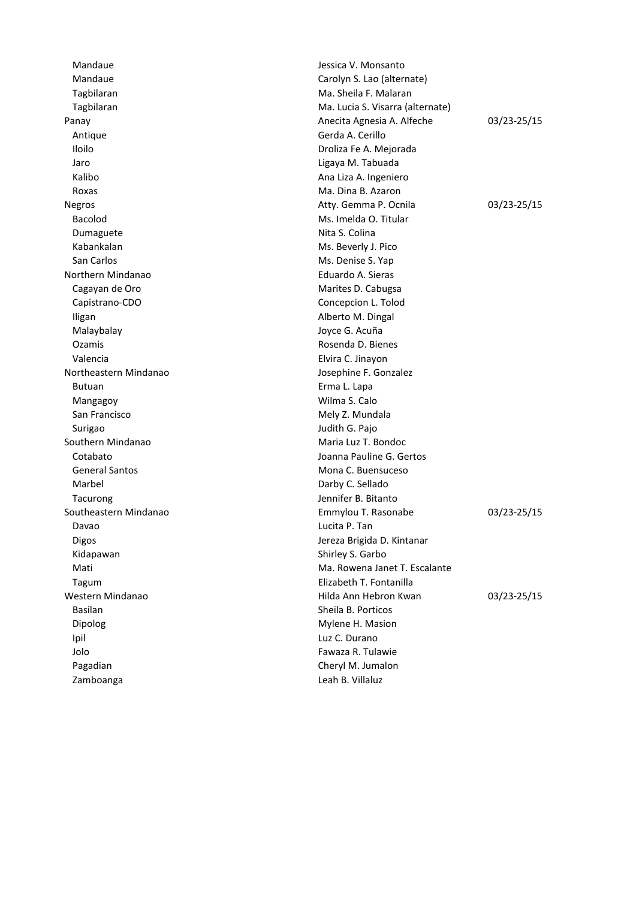Mandaue **Mandaue** Jessica V. Monsanto Mandaue Carolyn S. Lao (alternate) Tagbilaran Ma. Sheila F. Malaran Masheila F. Malaran Masheila F. Malaran Masheila F. Malaran Masheila F. Malaran Tagbilaran Ma. Lucia S. Visarra (alternate) Antique **Gerda A. Cerillo** Iloilo de Castro de Castro de Castro de Castro de Castro de Castro de Castro de Castro de Castro de Castro de<br>En el castro de Castro de Castro de Castro de Castro de Castro de Castro de Castro de Castro de Castro de Cast Jaro Ligaya M. Tabuada Kalibo **Ana Liza A. Ingeniero** Ana Liza A. Ingeniero Roxas **Mateurs** MacDina B. Azaron Bacolod **Ms. Imelda O. Titular** Dumaguete Nita S. Colina Kabankalan Ms. Beverly J. Pico San Carlos **Ms. Denise S. Yap** Northern Mindanao **Eduardo A. Sieras** Cagayan de Oro **Marites D. Cabugsa** Capistrano-CDO Concepcion L. Tolod Iligan **Alberto M. Dingal** Malaybalay Joyce G. Acuña Ozamis Rosenda D. Bienes Valencia Elvira C. Jinayon Northeastern Mindanao Josephine F. Gonzalez Butuan **Exercise Exercise Exercise Exercise Exercise Exercise Erma L. Lapa** Mangagoy Wilma S. Calo San Francisco **Mely Z. Mundala** Surigao Judith G. Pajo Southern Mindanao Maria Luz T. Bondoc Cotabato Joanna Pauline G. Gertos General Santos **Mona C. Buensuceso** Mona C. Buensuceso Marbel **Darby C. Sellado** Tacurong **Internal Community** Channel Macurone Jennifer B. Bitanto Davao Lucita P. Tan Digos Jereza Brigida D. Kintanar Kidapawan Shirley S. Garbo Mati Ma. Rowena Janet T. Escalante Tagum Elizabeth T. Fontanilla Basilan Sheila B. Porticos Dipolog Mylene H. Masion Ipil Luz C. Durano Jolo Fawaza R. Tulawie Pagadian **Cheryl M. Jumalon** Zamboanga Leah B. Villaluz

Panay **Anecita Agnesia A. Alfeche** 03/23-25/15 Negros **Atty. Gemma P. Ocnila** 03/23-25/15 Southeastern Mindanao Emmylou T. Rasonabe 03/23-25/15 Western Mindanao **Mindanao 1998 - Ann am Ann Hebron Kwan** 1987-25/15 - Mestern Mindanao